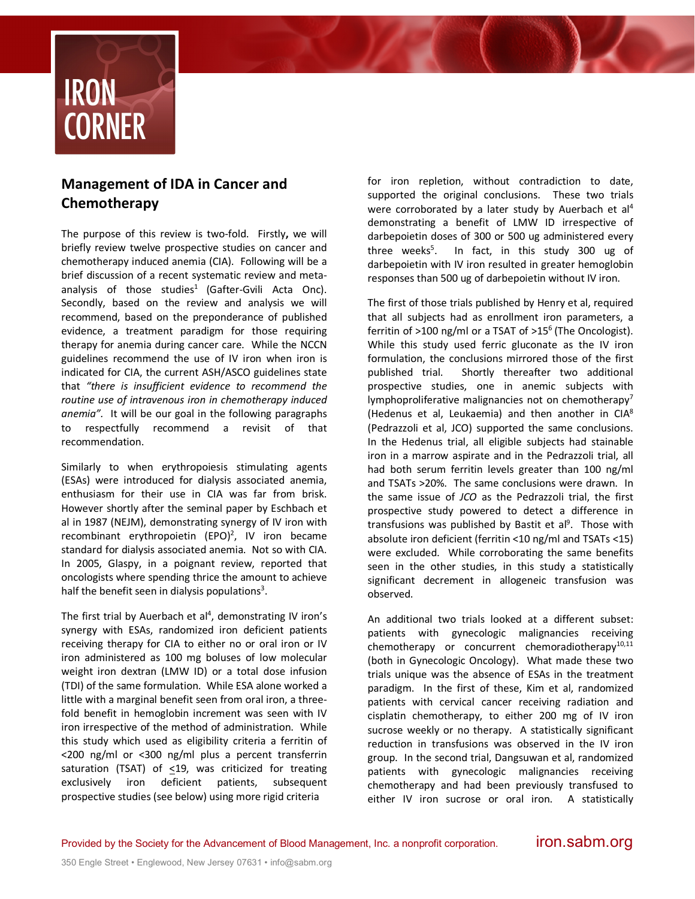

## **Management of IDA in Cancer and Chemotherapy**

The purpose of this review is two-fold. Firstly**,** we will briefly review twelve prospective studies on cancer and chemotherapy induced anemia (CIA). Following will be a brief discussion of a recent systematic review and metaanalysis of those studies<sup>1</sup> (Gafter-Gvili Acta Onc). Secondly, based on the review and analysis we will recommend, based on the preponderance of published evidence, a treatment paradigm for those requiring therapy for anemia during cancer care. While the NCCN guidelines recommend the use of IV iron when iron is indicated for CIA, the current ASH/ASCO guidelines state that *"there is insufficient evidence to recommend the routine use of intravenous iron in chemotherapy induced anemia".* It will be our goal in the following paragraphs to respectfully recommend a revisit of that recommendation.

Similarly to when erythropoiesis stimulating agents (ESAs) were introduced for dialysis associated anemia, enthusiasm for their use in CIA was far from brisk. However shortly after the seminal paper by Eschbach et al in 1987 (NEJM), demonstrating synergy of IV iron with recombinant erythropoietin  $(EPO)^2$ , IV iron became standard for dialysis associated anemia. Not so with CIA. In 2005, Glaspy, in a poignant review, reported that oncologists where spending thrice the amount to achieve half the benefit seen in dialysis populations<sup>3</sup>.

The first trial by Auerbach et  $al<sup>4</sup>$ , demonstrating IV iron's synergy with ESAs, randomized iron deficient patients receiving therapy for CIA to either no or oral iron or IV iron administered as 100 mg boluses of low molecular weight iron dextran (LMW ID) or a total dose infusion (TDI) of the same formulation. While ESA alone worked a little with a marginal benefit seen from oral iron, a threefold benefit in hemoglobin increment was seen with IV iron irrespective of the method of administration. While this study which used as eligibility criteria a ferritin of <200 ng/ml or <300 ng/ml plus a percent transferrin saturation (TSAT) of <19, was criticized for treating exclusively iron deficient patients, subsequent prospective studies (see below) using more rigid criteria

for iron repletion, without contradiction to date, supported the original conclusions. These two trials were corroborated by a later study by Auerbach et al<sup>4</sup> demonstrating a benefit of LMW ID irrespective of darbepoietin doses of 300 or 500 ug administered every three weeks<sup>5</sup>. . In fact, in this study 300 ug of darbepoietin with IV iron resulted in greater hemoglobin responses than 500 ug of darbepoietin without IV iron.

The first of those trials published by Henry et al, required that all subjects had as enrollment iron parameters, a ferritin of  $>100$  ng/ml or a TSAT of  $>15^6$  (The Oncologist). While this study used ferric gluconate as the IV iron formulation, the conclusions mirrored those of the first published trial. Shortly thereafter two additional prospective studies, one in anemic subjects with lymphoproliferative malignancies not on chemotherapy<sup>7</sup> (Hedenus et al, Leukaemia) and then another in CIA8 (Pedrazzoli et al, JCO) supported the same conclusions. In the Hedenus trial, all eligible subjects had stainable iron in a marrow aspirate and in the Pedrazzoli trial, all had both serum ferritin levels greater than 100 ng/ml and TSATs >20%. The same conclusions were drawn. In the same issue of *JCO* as the Pedrazzoli trial, the first prospective study powered to detect a difference in transfusions was published by Bastit et al<sup>9</sup>. Those with absolute iron deficient (ferritin <10 ng/ml and TSATs <15) were excluded. While corroborating the same benefits seen in the other studies, in this study a statistically significant decrement in allogeneic transfusion was observed.

An additional two trials looked at a different subset: patients with gynecologic malignancies receiving chemotherapy or concurrent chemoradiotherapy $10,11$ (both in Gynecologic Oncology). What made these two trials unique was the absence of ESAs in the treatment paradigm. In the first of these, Kim et al, randomized patients with cervical cancer receiving radiation and cisplatin chemotherapy, to either 200 mg of IV iron sucrose weekly or no therapy. A statistically significant reduction in transfusions was observed in the IV iron group. In the second trial, Dangsuwan et al, randomized patients with gynecologic malignancies receiving chemotherapy and had been previously transfused to either IV iron sucrose or oral iron. A statistically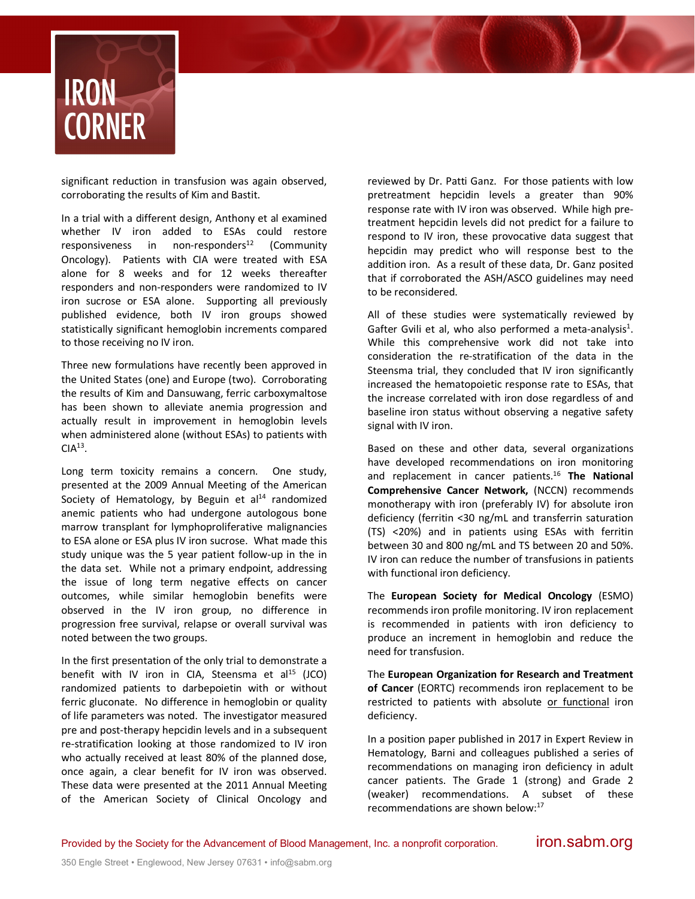

significant reduction in transfusion was again observed, corroborating the results of Kim and Bastit.

In a trial with a different design, Anthony et al examined whether IV iron added to ESAs could restore  $responsiveness$  in non-responders<sup>12</sup> (Community Oncology). Patients with CIA were treated with ESA alone for 8 weeks and for 12 weeks thereafter responders and non-responders were randomized to IV iron sucrose or ESA alone. Supporting all previously published evidence, both IV iron groups showed statistically significant hemoglobin increments compared to those receiving no IV iron.

Three new formulations have recently been approved in the United States (one) and Europe (two). Corroborating the results of Kim and Dansuwang, ferric carboxymaltose has been shown to alleviate anemia progression and actually result in improvement in hemoglobin levels when administered alone (without ESAs) to patients with  $CIA<sup>13</sup>$ .

Long term toxicity remains a concern. One study, presented at the 2009 Annual Meeting of the American Society of Hematology, by Beguin et  $al<sup>14</sup>$  randomized anemic patients who had undergone autologous bone marrow transplant for lymphoproliferative malignancies to ESA alone or ESA plus IV iron sucrose. What made this study unique was the 5 year patient follow-up in the in the data set. While not a primary endpoint, addressing the issue of long term negative effects on cancer outcomes, while similar hemoglobin benefits were observed in the IV iron group, no difference in progression free survival, relapse or overall survival was noted between the two groups.

In the first presentation of the only trial to demonstrate a benefit with IV iron in CIA, Steensma et  $al<sup>15</sup>$  (JCO) randomized patients to darbepoietin with or without ferric gluconate. No difference in hemoglobin or quality of life parameters was noted. The investigator measured pre and post-therapy hepcidin levels and in a subsequent re-stratification looking at those randomized to IV iron who actually received at least 80% of the planned dose, once again, a clear benefit for IV iron was observed. These data were presented at the 2011 Annual Meeting of the American Society of Clinical Oncology and reviewed by Dr. Patti Ganz. For those patients with low pretreatment hepcidin levels a greater than 90% response rate with IV iron was observed. While high pretreatment hepcidin levels did not predict for a failure to respond to IV iron, these provocative data suggest that hepcidin may predict who will response best to the addition iron. As a result of these data, Dr. Ganz posited that if corroborated the ASH/ASCO guidelines may need to be reconsidered.

All of these studies were systematically reviewed by Gafter Gvili et al, who also performed a meta-analysis<sup>1</sup>. While this comprehensive work did not take into consideration the re-stratification of the data in the Steensma trial, they concluded that IV iron significantly increased the hematopoietic response rate to ESAs, that the increase correlated with iron dose regardless of and baseline iron status without observing a negative safety signal with IV iron.

Based on these and other data, several organizations have developed recommendations on iron monitoring and replacement in cancer patients.16 **The National Comprehensive Cancer Network,** (NCCN) recommends monotherapy with iron (preferably IV) for absolute iron deficiency (ferritin <30 ng/mL and transferrin saturation (TS) <20%) and in patients using ESAs with ferritin between 30 and 800 ng/mL and TS between 20 and 50%. IV iron can reduce the number of transfusions in patients with functional iron deficiency.

The **European Society for Medical Oncology** (ESMO) recommends iron profile monitoring. IV iron replacement is recommended in patients with iron deficiency to produce an increment in hemoglobin and reduce the need for transfusion.

The **European Organization for Research and Treatment of Cancer** (EORTC) recommends iron replacement to be restricted to patients with absolute or functional iron deficiency.

In a position paper published in 2017 in Expert Review in Hematology, Barni and colleagues published a series of recommendations on managing iron deficiency in adult cancer patients. The Grade 1 (strong) and Grade 2 (weaker) recommendations. A subset of these recommendations are shown below:17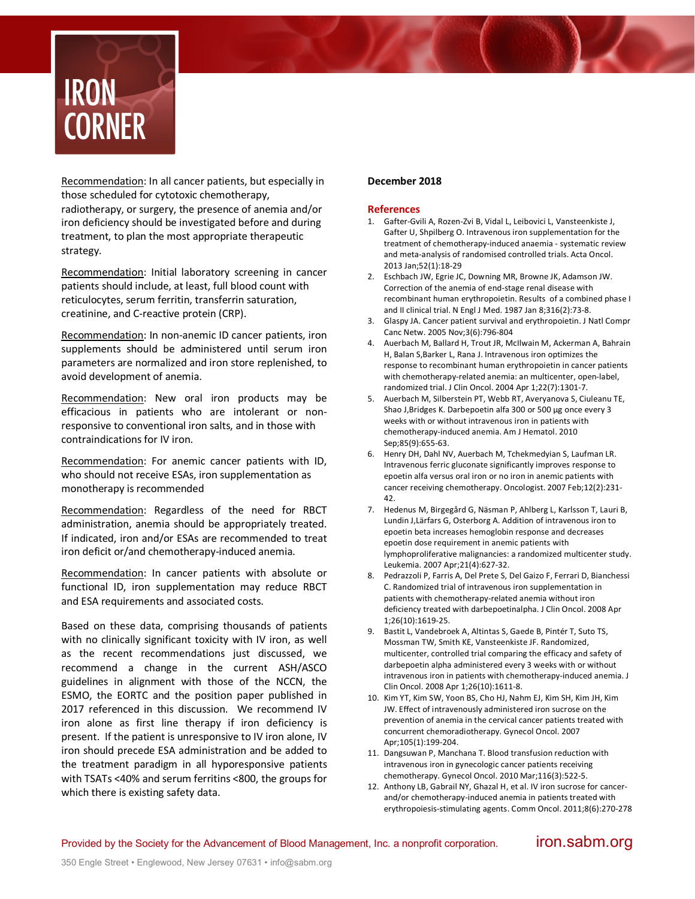

Recommendation: In all cancer patients, but especially in those scheduled for cytotoxic chemotherapy, radiotherapy, or surgery, the presence of anemia and/or iron deficiency should be investigated before and during treatment, to plan the most appropriate therapeutic strategy.

Recommendation: Initial laboratory screening in cancer patients should include, at least, full blood count with reticulocytes, serum ferritin, transferrin saturation, creatinine, and C-reactive protein (CRP).

Recommendation: In non-anemic ID cancer patients, iron supplements should be administered until serum iron parameters are normalized and iron store replenished, to avoid development of anemia.

Recommendation: New oral iron products may be efficacious in patients who are intolerant or nonresponsive to conventional iron salts, and in those with contraindications for IV iron.

Recommendation: For anemic cancer patients with ID, who should not receive ESAs, iron supplementation as monotherapy is recommended

Recommendation: Regardless of the need for RBCT administration, anemia should be appropriately treated. If indicated, iron and/or ESAs are recommended to treat iron deficit or/and chemotherapy-induced anemia.

Recommendation: In cancer patients with absolute or functional ID, iron supplementation may reduce RBCT and ESA requirements and associated costs.

Based on these data, comprising thousands of patients with no clinically significant toxicity with IV iron, as well as the recent recommendations just discussed, we recommend a change in the current ASH/ASCO guidelines in alignment with those of the NCCN, the ESMO, the EORTC and the position paper published in 2017 referenced in this discussion. We recommend IV iron alone as first line therapy if iron deficiency is present. If the patient is unresponsive to IV iron alone, IV iron should precede ESA administration and be added to the treatment paradigm in all hyporesponsive patients with TSATs <40% and serum ferritins <800, the groups for which there is existing safety data.

## **December 2018**

## **References**

- 1. Gafter-Gvili A, Rozen-Zvi B, Vidal L, Leibovici L, Vansteenkiste J, Gafter U, Shpilberg O. Intravenous iron supplementation for the treatment of chemotherapy-induced anaemia - systematic review and meta-analysis of randomised controlled trials. Acta Oncol. 2013 Jan;52(1):18-29
- 2. Eschbach JW, Egrie JC, Downing MR, Browne JK, Adamson JW. Correction of the anemia of end-stage renal disease with recombinant human erythropoietin. Results of a combined phase I and II clinical trial. N Engl J Med. 1987 Jan 8;316(2):73-8.
- 3. Glaspy JA. Cancer patient survival and erythropoietin. J Natl Compr Canc Netw. 2005 Nov;3(6):796-804
- 4. Auerbach M, Ballard H, Trout JR, McIlwain M, Ackerman A, Bahrain H, Balan S,Barker L, Rana J. Intravenous iron optimizes the response to recombinant human erythropoietin in cancer patients with chemotherapy-related anemia: an multicenter, open-label, randomized trial. J Clin Oncol. 2004 Apr 1;22(7):1301-7.
- 5. Auerbach M, Silberstein PT, Webb RT, Averyanova S, Ciuleanu TE, Shao J,Bridges K. Darbepoetin alfa 300 or 500 μg once every 3 weeks with or without intravenous iron in patients with chemotherapy-induced anemia. Am J Hematol. 2010 Sep;85(9):655-63.
- 6. Henry DH, Dahl NV, Auerbach M, Tchekmedyian S, Laufman LR. Intravenous ferric gluconate significantly improves response to epoetin alfa versus oral iron or no iron in anemic patients with cancer receiving chemotherapy. Oncologist. 2007 Feb;12(2):231- 42.
- 7. Hedenus M, Birgegård G, Näsman P, Ahlberg L, Karlsson T, Lauri B, Lundin J,Lärfars G, Osterborg A. Addition of intravenous iron to epoetin beta increases hemoglobin response and decreases epoetin dose requirement in anemic patients with lymphoproliferative malignancies: a randomized multicenter study. Leukemia. 2007 Apr;21(4):627-32.
- 8. Pedrazzoli P, Farris A, Del Prete S, Del Gaizo F, Ferrari D, Bianchessi C. Randomized trial of intravenous iron supplementation in patients with chemotherapy-related anemia without iron deficiency treated with darbepoetinalpha. J Clin Oncol. 2008 Apr 1;26(10):1619-25.
- 9. Bastit L, Vandebroek A, Altintas S, Gaede B, Pintér T, Suto TS, Mossman TW, Smith KE, Vansteenkiste JF. Randomized, multicenter, controlled trial comparing the efficacy and safety of darbepoetin alpha administered every 3 weeks with or without intravenous iron in patients with chemotherapy-induced anemia. J Clin Oncol. 2008 Apr 1;26(10):1611-8.
- 10. Kim YT, Kim SW, Yoon BS, Cho HJ, Nahm EJ, Kim SH, Kim JH, Kim JW. Effect of intravenously administered iron sucrose on the prevention of anemia in the cervical cancer patients treated with concurrent chemoradiotherapy. Gynecol Oncol. 2007 Apr;105(1):199-204.
- 11. Dangsuwan P, Manchana T. Blood transfusion reduction with intravenous iron in gynecologic cancer patients receiving chemotherapy. Gynecol Oncol. 2010 Mar;116(3):522-5.
- 12. Anthony LB, Gabrail NY, Ghazal H, et al. IV iron sucrose for cancerand/or chemotherapy-induced anemia in patients treated with erythropoiesis-stimulating agents. Comm Oncol. 2011;8(6):270-278

Provided by the Society for the Advancement of Blood Management, Inc. a nonprofit corporation. **iron.sabm.org**